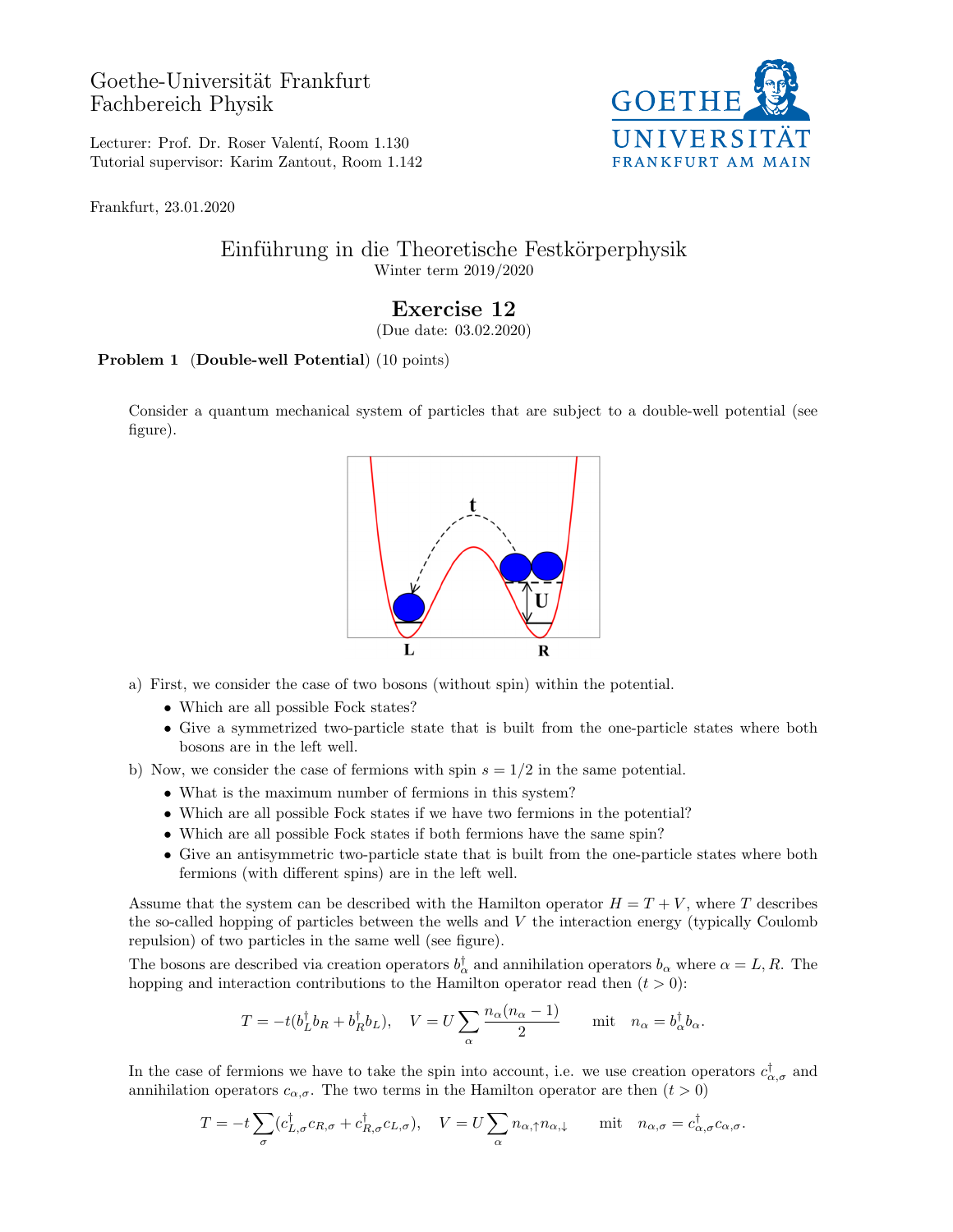## Goethe-Universität Frankfurt Fachbereich Physik



Lecturer: Prof. Dr. Roser Valentí, Room 1.130 Tutorial supervisor: Karim Zantout, Room 1.142

Frankfurt, 23.01.2020

## Einführung in die Theoretische Festkörperphysik Winter term 2019/2020

## Exercise 12

(Due date: 03.02.2020)

## Problem 1 (Double-well Potential) (10 points)

Consider a quantum mechanical system of particles that are subject to a double-well potential (see figure).



- a) First, we consider the case of two bosons (without spin) within the potential.
	- Which are all possible Fock states?
	- Give a symmetrized two-particle state that is built from the one-particle states where both bosons are in the left well.
- b) Now, we consider the case of fermions with spin  $s = 1/2$  in the same potential.
	- What is the maximum number of fermions in this system?
	- Which are all possible Fock states if we have two fermions in the potential?
	- Which are all possible Fock states if both fermions have the same spin?
	- Give an antisymmetric two-particle state that is built from the one-particle states where both fermions (with different spins) are in the left well.

Assume that the system can be described with the Hamilton operator  $H = T + V$ , where T describes the so-called hopping of particles between the wells and  $V$  the interaction energy (typically Coulomb repulsion) of two particles in the same well (see figure).

The bosons are described via creation operators  $b_{\alpha}^{\dagger}$  and annihilation operators  $b_{\alpha}$  where  $\alpha = L, R$ . The hopping and interaction contributions to the Hamilton operator read then  $(t > 0)$ :

$$
T = -t(b_L^{\dagger}b_R + b_R^{\dagger}b_L), \quad V = U \sum_{\alpha} \frac{n_{\alpha}(n_{\alpha} - 1)}{2} \quad \text{mit} \quad n_{\alpha} = b_{\alpha}^{\dagger}b_{\alpha}.
$$

In the case of fermions we have to take the spin into account, i.e. we use creation operators  $c^{\dagger}_{\alpha,\sigma}$  and annihilation operators  $c_{\alpha,\sigma}$ . The two terms in the Hamilton operator are then  $(t > 0)$ 

$$
T = -t \sum_{\sigma} (c^{\dagger}_{L,\sigma} c_{R,\sigma} + c^{\dagger}_{R,\sigma} c_{L,\sigma}), \quad V = U \sum_{\alpha} n_{\alpha,\uparrow} n_{\alpha,\downarrow} \quad \text{mit} \quad n_{\alpha,\sigma} = c^{\dagger}_{\alpha,\sigma} c_{\alpha,\sigma}.
$$